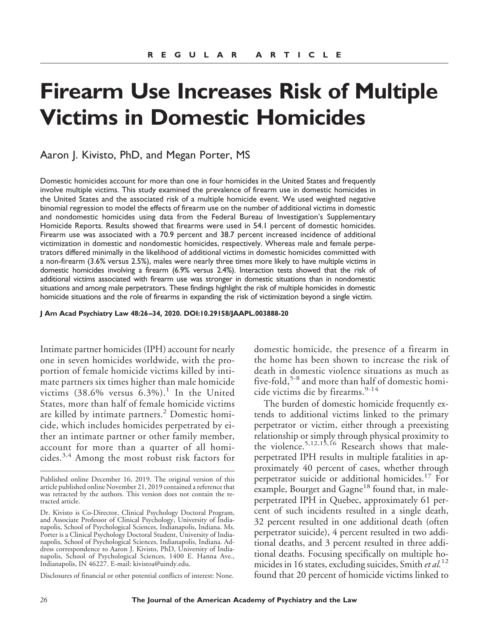# **Firearm Use Increases Risk of Multiple Victims in Domestic Homicides**

Aaron J. Kivisto, PhD, and Megan Porter, MS

Domestic homicides account for more than one in four homicides in the United States and frequently involve multiple victims. This study examined the prevalence of firearm use in domestic homicides in the United States and the associated risk of a multiple homicide event. We used weighted negative binomial regression to model the effects of firearm use on the number of additional victims in domestic and nondomestic homicides using data from the Federal Bureau of Investigation's Supplementary Homicide Reports. Results showed that firearms were used in 54.1 percent of domestic homicides. Firearm use was associated with a 70.9 percent and 38.7 percent increased incidence of additional victimization in domestic and nondomestic homicides, respectively. Whereas male and female perpetrators differed minimally in the likelihood of additional victims in domestic homicides committed with a non-firearm (3.6% versus 2.5%), males were nearly three times more likely to have multiple victims in domestic homicides involving a firearm (6.9% versus 2.4%). Interaction tests showed that the risk of additional victims associated with firearm use was stronger in domestic situations than in nondomestic situations and among male perpetrators. These findings highlight the risk of multiple homicides in domestic homicide situations and the role of firearms in expanding the risk of victimization beyond a single victim.

**J Am Acad Psychiatry Law 48:26 –34, 2020. DOI:10.29158/JAAPL.003888-20**

Intimate partner homicides (IPH) account for nearly one in seven homicides worldwide, with the proportion of female homicide victims killed by intimate partners six times higher than male homicide victims  $(38.6\%$  versus  $6.3\%$ ).<sup>1</sup> In the United States, more than half of female homicide victims are killed by intimate partners.<sup>2</sup> Domestic homicide, which includes homicides perpetrated by either an intimate partner or other family member, account for more than a quarter of all homicides.3,4 Among the most robust risk factors for

Disclosures of financial or other potential conflicts of interest: None.

domestic homicide, the presence of a firearm in the home has been shown to increase the risk of death in domestic violence situations as much as five-fold,<sup>5-8</sup> and more than half of domestic homicide victims die by firearms.<sup>9-14</sup>

The burden of domestic homicide frequently extends to additional victims linked to the primary perpetrator or victim, either through a preexisting relationship or simply through physical proximity to the violence.<sup>5,12,15,16</sup> Research shows that maleperpetrated IPH results in multiple fatalities in approximately 40 percent of cases, whether through perpetrator suicide or additional homicides.<sup>17</sup> For example, Bourget and Gagne<sup>18</sup> found that, in maleperpetrated IPH in Quebec, approximately 61 percent of such incidents resulted in a single death, 32 percent resulted in one additional death (often perpetrator suicide), 4 percent resulted in two additional deaths, and 3 percent resulted in three additional deaths. Focusing specifically on multiple homicides in 16 states, excluding suicides, Smith *et al.*<sup>12</sup> found that 20 percent of homicide victims linked to

Published online December 16, 2019. The original version of this article published online November 21, 2019 contained a reference that was retracted by the authors. This version does not contain the retracted article.

Dr. Kivisto is Co-Director, Clinical Psychology Doctoral Program, and Associate Professor of Clinical Psychology, University of Indianapolis, School of Psychological Sciences, Indianapolis, Indiana. Ms. Porter is a Clinical Psychology Doctoral Student, University of Indianapolis, School of Psychological Sciences, Indianapolis, Indiana. Address correspondence to Aaron J. Kivisto, PhD, University of Indianapolis, School of Psychological Sciences, 1400 E. Hanna Ave., Indianapolis, IN 46227. E-mail: kivistoa@uindy.edu.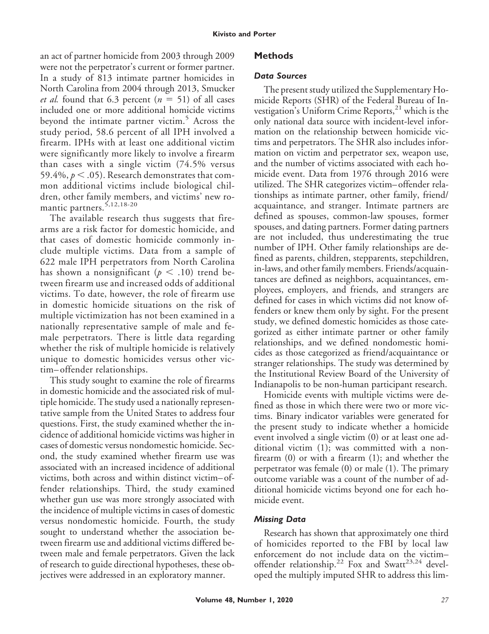an act of partner homicide from 2003 through 2009 were not the perpetrator's current or former partner. In a study of 813 intimate partner homicides in North Carolina from 2004 through 2013, Smucker *et al.* found that  $6.3$  percent  $(n = 51)$  of all cases included one or more additional homicide victims beyond the intimate partner victim.<sup>5</sup> Across the study period, 58.6 percent of all IPH involved a firearm. IPHs with at least one additional victim were significantly more likely to involve a firearm than cases with a single victim (74.5% versus 59.4%,  $p < .05$ ). Research demonstrates that common additional victims include biological children, other family members, and victims' new romantic partners.<sup>5,12,18-20</sup>

The available research thus suggests that firearms are a risk factor for domestic homicide, and that cases of domestic homicide commonly include multiple victims. Data from a sample of 622 male IPH perpetrators from North Carolina has shown a nonsignificant ( $p < .10$ ) trend between firearm use and increased odds of additional victims. To date, however, the role of firearm use in domestic homicide situations on the risk of multiple victimization has not been examined in a nationally representative sample of male and female perpetrators. There is little data regarding whether the risk of multiple homicide is relatively unique to domestic homicides versus other victim–offender relationships.

This study sought to examine the role of firearms in domestic homicide and the associated risk of multiple homicide. The study used a nationally representative sample from the United States to address four questions. First, the study examined whether the incidence of additional homicide victims was higher in cases of domestic versus nondomestic homicide. Second, the study examined whether firearm use was associated with an increased incidence of additional victims, both across and within distinct victim–offender relationships. Third, the study examined whether gun use was more strongly associated with the incidence of multiple victims in cases of domestic versus nondomestic homicide. Fourth, the study sought to understand whether the association between firearm use and additional victims differed between male and female perpetrators. Given the lack of research to guide directional hypotheses, these objectives were addressed in an exploratory manner.

### **Volume 48, Number 1, 2020** *27*

#### *Data Sources*

The present study utilized the Supplementary Homicide Reports (SHR) of the Federal Bureau of Investigation's Uniform Crime Reports, $^{21}$  which is the only national data source with incident-level information on the relationship between homicide victims and perpetrators. The SHR also includes information on victim and perpetrator sex, weapon use, and the number of victims associated with each homicide event. Data from 1976 through 2016 were utilized. The SHR categorizes victim–offender relationships as intimate partner, other family, friend/ acquaintance, and stranger. Intimate partners are defined as spouses, common-law spouses, former spouses, and dating partners. Former dating partners are not included, thus underestimating the true number of IPH. Other family relationships are defined as parents, children, stepparents, stepchildren, in-laws, and other family members. Friends/acquaintances are defined as neighbors, acquaintances, employees, employers, and friends, and strangers are defined for cases in which victims did not know offenders or knew them only by sight. For the present study, we defined domestic homicides as those categorized as either intimate partner or other family relationships, and we defined nondomestic homicides as those categorized as friend/acquaintance or stranger relationships. The study was determined by the Institutional Review Board of the University of Indianapolis to be non-human participant research.

Homicide events with multiple victims were defined as those in which there were two or more victims. Binary indicator variables were generated for the present study to indicate whether a homicide event involved a single victim (0) or at least one additional victim (1); was committed with a nonfirearm (0) or with a firearm (1); and whether the perpetrator was female (0) or male (1). The primary outcome variable was a count of the number of additional homicide victims beyond one for each homicide event.

#### *Missing Data*

Research has shown that approximately one third of homicides reported to the FBI by local law enforcement do not include data on the victim– offender relationship.<sup>22</sup> Fox and Swatt<sup>23,24</sup> developed the multiply imputed SHR to address this lim-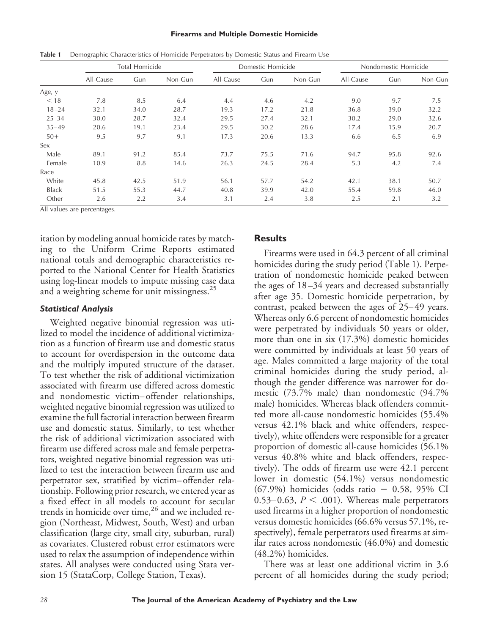#### **Firearms and Multiple Domestic Homicide**

|              | <b>Total Homicide</b> |      |         | Domestic Homicide |      |         | Nondomestic Homicide |      |         |
|--------------|-----------------------|------|---------|-------------------|------|---------|----------------------|------|---------|
|              | All-Cause             | Gun  | Non-Gun | All-Cause         | Gun  | Non-Gun | All-Cause            | Gun  | Non-Gun |
| Age, y       |                       |      |         |                   |      |         |                      |      |         |
| < 18         | 7.8                   | 8.5  | 6.4     | 4.4               | 4.6  | 4.2     | 9.0                  | 9.7  | 7.5     |
| $18 - 24$    | 32.1                  | 34.0 | 28.7    | 19.3              | 17.2 | 21.8    | 36.8                 | 39.0 | 32.2    |
| $25 - 34$    | 30.0                  | 28.7 | 32.4    | 29.5              | 27.4 | 32.1    | 30.2                 | 29.0 | 32.6    |
| $35 - 49$    | 20.6                  | 19.1 | 23.4    | 29.5              | 30.2 | 28.6    | 17.4                 | 15.9 | 20.7    |
| $50+$        | 9.5                   | 9.7  | 9.1     | 17.3              | 20.6 | 13.3    | 6.6                  | 6.5  | 6.9     |
| Sex          |                       |      |         |                   |      |         |                      |      |         |
| Male         | 89.1                  | 91.2 | 85.4    | 73.7              | 75.5 | 71.6    | 94.7                 | 95.8 | 92.6    |
| Female       | 10.9                  | 8.8  | 14.6    | 26.3              | 24.5 | 28.4    | 5.3                  | 4.2  | 7.4     |
| Race         |                       |      |         |                   |      |         |                      |      |         |
| White        | 45.8                  | 42.5 | 51.9    | 56.1              | 57.7 | 54.2    | 42.1                 | 38.1 | 50.7    |
| <b>Black</b> | 51.5                  | 55.3 | 44.7    | 40.8              | 39.9 | 42.0    | 55.4                 | 59.8 | 46.0    |
| Other        | 2.6                   | 2.2  | 3.4     | 3.1               | 2.4  | 3.8     | 2.5                  | 2.1  | 3.2     |

Table 1 Demographic Characteristics of Homicide Perpetrators by Domestic Status and Firearm Use

All values are percentages.

itation by modeling annual homicide rates by matching to the Uniform Crime Reports estimated national totals and demographic characteristics reported to the National Center for Health Statistics using log-linear models to impute missing case data and a weighting scheme for unit missingness.<sup>25</sup>

# *Statistical Analysis*

Weighted negative binomial regression was utilized to model the incidence of additional victimization as a function of firearm use and domestic status to account for overdispersion in the outcome data and the multiply imputed structure of the dataset. To test whether the risk of additional victimization associated with firearm use differed across domestic and nondomestic victim–offender relationships, weighted negative binomial regression was utilized to examine the full factorial interaction between firearm use and domestic status. Similarly, to test whether the risk of additional victimization associated with firearm use differed across male and female perpetrators, weighted negative binomial regression was utilized to test the interaction between firearm use and perpetrator sex, stratified by victim–offender relationship. Following prior research, we entered year as a fixed effect in all models to account for secular trends in homicide over time,<sup>26</sup> and we included region (Northeast, Midwest, South, West) and urban classification (large city, small city, suburban, rural) as covariates. Clustered robust error estimators were used to relax the assumption of independence within states. All analyses were conducted using Stata version 15 (StataCorp, College Station, Texas).

# **Results**

Firearms were used in 64.3 percent of all criminal homicides during the study period (Table 1). Perpetration of nondomestic homicide peaked between the ages of 18 –34 years and decreased substantially after age 35. Domestic homicide perpetration, by contrast, peaked between the ages of 25– 49 years. Whereas only 6.6 percent of nondomestic homicides were perpetrated by individuals 50 years or older, more than one in six (17.3%) domestic homicides were committed by individuals at least 50 years of age. Males committed a large majority of the total criminal homicides during the study period, although the gender difference was narrower for domestic (73.7% male) than nondomestic (94.7% male) homicides. Whereas black offenders committed more all-cause nondomestic homicides (55.4% versus 42.1% black and white offenders, respectively), white offenders were responsible for a greater proportion of domestic all-cause homicides (56.1% versus 40.8% white and black offenders, respectively). The odds of firearm use were 42.1 percent lower in domestic (54.1%) versus nondomestic  $(67.9\%)$  homicides (odds ratio = 0.58, 95% CI 0.53–0.63,  $P < .001$ ). Whereas male perpetrators used firearms in a higher proportion of nondomestic versus domestic homicides (66.6% versus 57.1%, respectively), female perpetrators used firearms at similar rates across nondomestic (46.0%) and domestic (48.2%) homicides.

There was at least one additional victim in 3.6 percent of all homicides during the study period;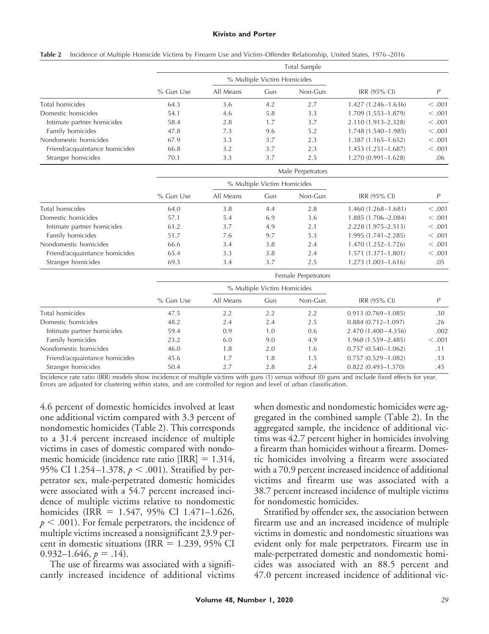#### **Kivisto and Porter**

|                               | Total Sample      |                             |     |         |                        |         |  |  |
|-------------------------------|-------------------|-----------------------------|-----|---------|------------------------|---------|--|--|
|                               |                   | % Multiple Victim Homicides |     |         |                        |         |  |  |
|                               | % Gun Use         | All Means                   | Gun | Non-Gun | IRR (95% CI)           | P       |  |  |
| Total homicides               | 64.3              | 3.6                         | 4.2 | 2.7     | $1.427(1.246 - 1.636)$ | < 0.001 |  |  |
| Domestic homicides            | 54.1              | 4.6                         | 5.8 | 3.3     | 1.709 (1.553-1.879)    | < 0.001 |  |  |
| Intimate partner homicides    | 58.4              | 2.8                         | 1.7 | 3.7     | 2.110 (1.913-2.328)    | < 0.001 |  |  |
| Family homicides              | 47.8              | 7.3                         | 9.6 | 5.2     | 1.748 (1.540-1.985)    | < 0.001 |  |  |
| Nondomestic homicides         | 67.9              | 3.3                         | 3.7 | 2.3     | 1.387 (1.165-1.652)    | < 0.001 |  |  |
| Friend/acquaintance homicides | 66.8              | 3.2                         | 3.7 | 2.3     | 1.453 (1.251-1.687)    | < 0.001 |  |  |
| Stranger homicides            | 70.1              | 3.3                         | 3.7 | 2.5     | 1.270 (0.991-1.628)    | .06     |  |  |
|                               | Male Perpetrators |                             |     |         |                        |         |  |  |
|                               |                   | % Multiple Victim Homicides |     |         |                        |         |  |  |
|                               | % Gun Use         | All Means                   | Gun | Non-Gun | IRR (95% CI)           | P       |  |  |
| Total homicides               | 64.0              | 3.8                         | 4.4 | 2.8     | $1.460(1.268 - 1.681)$ | < 0.001 |  |  |
| Domestic homicides            | 57.1              | 5.4                         | 6.9 | 3.6     | 1.885 (1.706-2.084)    | < 0.001 |  |  |
| Intimate partner homicides    | 61.2              | 3.7                         | 4.9 | 2.1     | 2.228 (1.975-2.513)    | < 0.001 |  |  |
| Family homicides              | 51.7              | 7.6                         | 9.7 | 5.3     | 1.995 (1.741-2.285)    | < 0.001 |  |  |
| Nondomestic homicides         | 66.6              | 3.4                         | 3.8 | 2.4     | 1.470 (1.252-1.726)    | < 0.001 |  |  |
| Friend/acquaintance homicides | 65.4              | 3.3                         | 3.8 | 2.4     | 1.571 (1.371-1.801)    | < 0.001 |  |  |

|  |  |  | Table 2 Incidence of Multiple Homicide Victims by Firearm Use and Victim–Offender Relationship, United States, 1976–2016 |  |  |
|--|--|--|--------------------------------------------------------------------------------------------------------------------------|--|--|
|--|--|--|--------------------------------------------------------------------------------------------------------------------------|--|--|

| Female Perpetrators |           |     |         |                             |         |
|---------------------|-----------|-----|---------|-----------------------------|---------|
|                     |           |     |         |                             |         |
| % Gun Use           | All Means | Gun | Non-Gun | IRR (95% CI)                |         |
| 47.5                | 2.2       | 2.2 | 2.2     | $0.913(0.769 - 1.085)$      | .30     |
| 48.2                | 2.4       | 2.4 | 2.5     | $0.884(0.712 - 1.097)$      | .26     |
| 59.4                | 0.9       | 1.0 | 0.6     | 2.470 (1.400 - 4.356)       | .002    |
| 23.2                | 6.0       | 9.0 | 4.9     | $1.968(1.559 - 2.485)$      | < 0.001 |
| 46.0                | 1.8       | 2.0 | 1.6     | $0.757(0.540 - 1.062)$      | .11     |
| 45.6                | 1.7       | 1.8 | 1.5     | $0.757(0.529 - 1.082)$      | .13     |
| 50.4                | 2.7       | 2.8 | 2.4     | $0.822(0.493 - 1.370)$      | .45     |
|                     |           |     |         | % Multiple Victim Homicides |         |

Stranger homicides 69.3 69.3 3.4 3.7 2.5 1.273 (1.003–1.616) .05

Incidence rate ratio (IRR) models show incidence of multiple victims with guns (1) versus without (0) guns and include fixed effects for year. Errors are adjusted for clustering within states, and are controlled for region and level of urban classification.

4.6 percent of domestic homicides involved at least one additional victim compared with 3.3 percent of nondomestic homicides (Table 2). This corresponds to a 31.4 percent increased incidence of multiple victims in cases of domestic compared with nondomestic homicide (incidence rate ratio [IRR] = 1.314, 95% CI 1.254–1.378,  $p < .001$ ). Stratified by perpetrator sex, male-perpetrated domestic homicides were associated with a 54.7 percent increased incidence of multiple victims relative to nondomestic homicides (IRR = 1.547, 95% CI 1.471-1.626,  $p < .001$ ). For female perpetrators, the incidence of multiple victims increased a nonsignificant 23.9 percent in domestic situations (IRR =  $1.239$ , 95% CI  $0.932 - 1.646, p = .14$ .

The use of firearms was associated with a significantly increased incidence of additional victims when domestic and nondomestic homicides were aggregated in the combined sample (Table 2). In the aggregated sample, the incidence of additional victims was 42.7 percent higher in homicides involving a firearm than homicides without a firearm. Domestic homicides involving a firearm were associated with a 70.9 percent increased incidence of additional victims and firearm use was associated with a 38.7 percent increased incidence of multiple victims for nondomestic homicides.

Stratified by offender sex, the association between firearm use and an increased incidence of multiple victims in domestic and nondomestic situations was evident only for male perpetrators. Firearm use in male-perpetrated domestic and nondomestic homicides was associated with an 88.5 percent and 47.0 percent increased incidence of additional vic-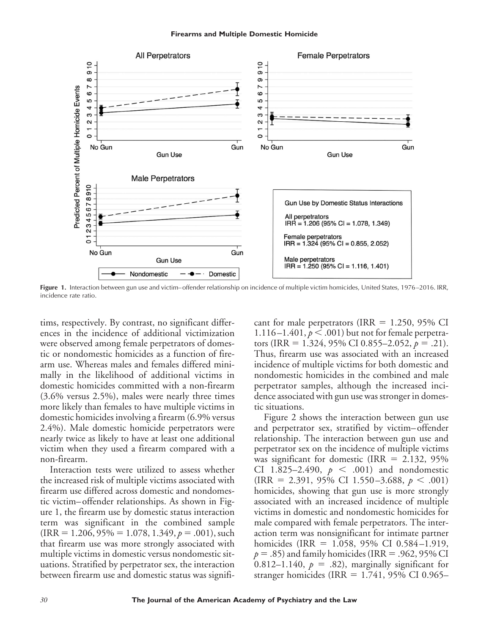#### **Firearms and Multiple Domestic Homicide**



Figure 1. Interaction between gun use and victim–offender relationship on incidence of multiple victim homicides, United States, 1976-2016. IRR, incidence rate ratio.

tims, respectively. By contrast, no significant differences in the incidence of additional victimization were observed among female perpetrators of domestic or nondomestic homicides as a function of firearm use. Whereas males and females differed minimally in the likelihood of additional victims in domestic homicides committed with a non-firearm (3.6% versus 2.5%), males were nearly three times more likely than females to have multiple victims in domestic homicides involving a firearm (6.9% versus 2.4%). Male domestic homicide perpetrators were nearly twice as likely to have at least one additional victim when they used a firearm compared with a non-firearm.

Interaction tests were utilized to assess whether the increased risk of multiple victims associated with firearm use differed across domestic and nondomestic victim–offender relationships. As shown in Figure 1, the firearm use by domestic status interaction term was significant in the combined sample  $(IRR = 1.206, 95% = 1.078, 1.349, p = .001), such$ that firearm use was more strongly associated with multiple victims in domestic versus nondomestic situations. Stratified by perpetrator sex, the interaction between firearm use and domestic status was signifi-

cant for male perpetrators (IRR =  $1.250$ , 95% CI 1.116 –1.401,  $p < .001$ ) but not for female perpetrators (IRR = 1.324, 95% CI 0.855–2.052,  $p = .21$ ). Thus, firearm use was associated with an increased incidence of multiple victims for both domestic and nondomestic homicides in the combined and male perpetrator samples, although the increased incidence associated with gun use was stronger in domestic situations.

Figure 2 shows the interaction between gun use and perpetrator sex, stratified by victim–offender relationship. The interaction between gun use and perpetrator sex on the incidence of multiple victims was significant for domestic (IRR =  $2.132$ , 95% CI 1.825–2.490,  $p < .001$  and nondomestic  $\text{(IRR} = 2.391, 95\% \text{ CI} 1.550 - 3.688, p < .001)$ homicides, showing that gun use is more strongly associated with an increased incidence of multiple victims in domestic and nondomestic homicides for male compared with female perpetrators. The interaction term was nonsignificant for intimate partner homicides (IRR = 1.058, 95% CI 0.584-1.919,  $p = .85$ ) and family homicides (IRR =  $.962, 95\%$  CI 0.812–1.140,  $p = .82$ ), marginally significant for stranger homicides (IRR =  $1.741$ ,  $95\%$  CI 0.965–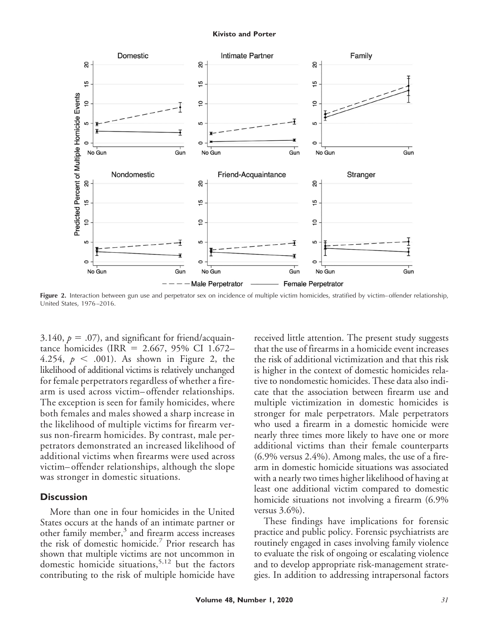#### **Kivisto and Porter**



**Figure 2.** Interaction between gun use and perpetrator sex on incidence of multiple victim homicides, stratified by victim– offender relationship, United States, 1976 –2016.

3.140,  $p = .07$ ), and significant for friend/acquaintance homicides (IRR - 2.667, 95% CI 1.672– 4.254,  $p < .001$ ). As shown in Figure 2, the likelihood of additional victims is relatively unchanged for female perpetrators regardless of whether a firearm is used across victim–offender relationships. The exception is seen for family homicides, where both females and males showed a sharp increase in the likelihood of multiple victims for firearm versus non-firearm homicides. By contrast, male perpetrators demonstrated an increased likelihood of additional victims when firearms were used across victim–offender relationships, although the slope was stronger in domestic situations.

# **Discussion**

More than one in four homicides in the United States occurs at the hands of an intimate partner or other family member, $3$  and firearm access increases the risk of domestic homicide.<sup>7</sup> Prior research has shown that multiple victims are not uncommon in domestic homicide situations,  $5,12$  but the factors contributing to the risk of multiple homicide have

received little attention. The present study suggests that the use of firearms in a homicide event increases the risk of additional victimization and that this risk is higher in the context of domestic homicides relative to nondomestic homicides. These data also indicate that the association between firearm use and multiple victimization in domestic homicides is stronger for male perpetrators. Male perpetrators who used a firearm in a domestic homicide were nearly three times more likely to have one or more additional victims than their female counterparts (6.9% versus 2.4%). Among males, the use of a firearm in domestic homicide situations was associated with a nearly two times higher likelihood of having at least one additional victim compared to domestic homicide situations not involving a firearm (6.9% versus 3.6%).

These findings have implications for forensic practice and public policy. Forensic psychiatrists are routinely engaged in cases involving family violence to evaluate the risk of ongoing or escalating violence and to develop appropriate risk-management strategies. In addition to addressing intrapersonal factors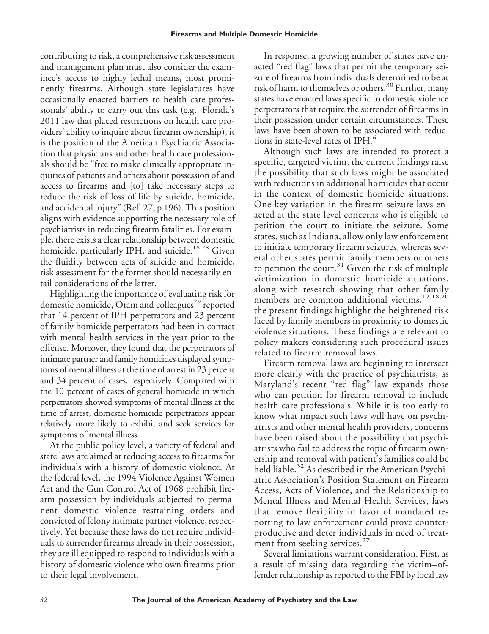contributing to risk, a comprehensive risk assessment and management plan must also consider the examinee's access to highly lethal means, most prominently firearms. Although state legislatures have occasionally enacted barriers to health care professionals' ability to carry out this task (e.g., Florida's 2011 law that placed restrictions on health care providers' ability to inquire about firearm ownership), it is the position of the American Psychiatric Association that physicians and other health care professionals should be "free to make clinically appropriate inquiries of patients and others about possession of and access to firearms and [to] take necessary steps to reduce the risk of loss of life by suicide, homicide, and accidental injury" (Ref. 27, p 196). This position aligns with evidence supporting the necessary role of psychiatrists in reducing firearm fatalities. For example, there exists a clear relationship between domestic homicide, particularly IPH, and suicide.<sup>18,28</sup> Given the fluidity between acts of suicide and homicide, risk assessment for the former should necessarily entail considerations of the latter.

Highlighting the importance of evaluating risk for domestic homicide, Oram and colleagues<sup>29</sup> reported that 14 percent of IPH perpetrators and 23 percent of family homicide perpetrators had been in contact with mental health services in the year prior to the offense. Moreover, they found that the perpetrators of intimate partner and family homicides displayed symptoms of mental illness at the time of arrest in 23 percent and 34 percent of cases, respectively. Compared with the 10 percent of cases of general homicide in which perpetrators showed symptoms of mental illness at the time of arrest, domestic homicide perpetrators appear relatively more likely to exhibit and seek services for symptoms of mental illness.

At the public policy level, a variety of federal and state laws are aimed at reducing access to firearms for individuals with a history of domestic violence. At the federal level, the 1994 Violence Against Women Act and the Gun Control Act of 1968 prohibit firearm possession by individuals subjected to permanent domestic violence restraining orders and convicted of felony intimate partner violence, respectively. Yet because these laws do not require individuals to surrender firearms already in their possession, they are ill equipped to respond to individuals with a history of domestic violence who own firearms prior to their legal involvement.

In response, a growing number of states have enacted "red flag" laws that permit the temporary seizure of firearms from individuals determined to be at risk of harm to themselves or others.<sup>30</sup> Further, many states have enacted laws specific to domestic violence perpetrators that require the surrender of firearms in their possession under certain circumstances. These laws have been shown to be associated with reductions in state-level rates of IPH.<sup>6</sup>

Although such laws are intended to protect a specific, targeted victim, the current findings raise the possibility that such laws might be associated with reductions in additional homicides that occur in the context of domestic homicide situations. One key variation in the firearm-seizure laws enacted at the state level concerns who is eligible to petition the court to initiate the seizure. Some states, such as Indiana, allow only law enforcement to initiate temporary firearm seizures, whereas several other states permit family members or others to petition the court.<sup>31</sup> Given the risk of multiple victimization in domestic homicide situations, along with research showing that other family members are common additional victims,<sup>12,18,20</sup> the present findings highlight the heightened risk faced by family members in proximity to domestic violence situations. These findings are relevant to policy makers considering such procedural issues related to firearm removal laws.

Firearm removal laws are beginning to intersect more clearly with the practice of psychiatrists, as Maryland's recent "red flag" law expands those who can petition for firearm removal to include health care professionals. While it is too early to know what impact such laws will have on psychiatrists and other mental health providers, concerns have been raised about the possibility that psychiatrists who fail to address the topic of firearm ownership and removal with patient's families could be held liable.<sup>32</sup> As described in the American Psychiatric Association's Position Statement on Firearm Access, Acts of Violence, and the Relationship to Mental Illness and Mental Health Services, laws that remove flexibility in favor of mandated reporting to law enforcement could prove counterproductive and deter individuals in need of treatment from seeking services.<sup>27</sup>

Several limitations warrant consideration. First, as a result of missing data regarding the victim–offender relationship as reported to the FBI by local law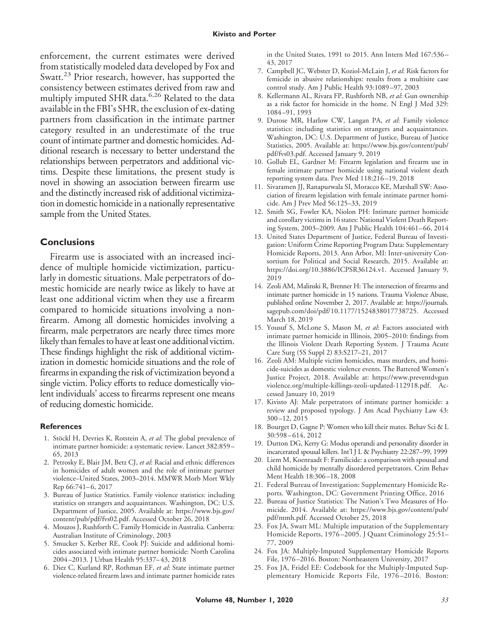enforcement, the current estimates were derived from statistically modeled data developed by Fox and Swatt.<sup>23</sup> Prior research, however, has supported the consistency between estimates derived from raw and multiply imputed SHR data.<sup>6,26</sup> Related to the data available in the FBI's SHR, the exclusion of ex-dating partners from classification in the intimate partner category resulted in an underestimate of the true count of intimate partner and domestic homicides. Additional research is necessary to better understand the relationships between perpetrators and additional victims. Despite these limitations, the present study is novel in showing an association between firearm use and the distinctly increased risk of additional victimization in domestic homicide in a nationally representative sample from the United States.

# **Conclusions**

Firearm use is associated with an increased incidence of multiple homicide victimization, particularly in domestic situations. Male perpetrators of domestic homicide are nearly twice as likely to have at least one additional victim when they use a firearm compared to homicide situations involving a nonfirearm. Among all domestic homicides involving a firearm, male perpetrators are nearly three times more likely than females to have at least one additional victim. These findings highlight the risk of additional victimization in domestic homicide situations and the role of firearms in expanding the risk of victimization beyond a single victim. Policy efforts to reduce domestically violent individuals' access to firearms represent one means of reducing domestic homicide.

#### **References**

- 1. Stöckl H, Devries K, Rotstein A, et al: The global prevalence of intimate partner homicide: a systematic review. Lancet 382:859 – 65, 2013
- 2. Petrosky E, Blair JM, Betz CJ, *et al*: Racial and ethnic differences in homicides of adult women and the role of intimate partner violence–United States, 2003–2014. MMWR Morb Mort Wkly Rep 66:741-6, 2017
- 3. Bureau of Justice Statistics. Family violence statistics: including statistics on strangers and acquaintances. Washington, DC: U.S. Department of Justice, 2005. Available at: [https://www.bjs.gov/](https://www.bjs.gov/content/pub/pdf/fvs02.pdf) [content/pub/pdf/fvs02.pdf.](https://www.bjs.gov/content/pub/pdf/fvs02.pdf) Accessed October 26, 2018
- 4. Mouzos J, Rushforth C. Family Homicide in Australia*.* Canberra: Australian Institute of Criminology, 2003
- 5. Smucker S, Kerber RE, Cook PJ: Suicide and additional homicides associated with intimate partner homicide: North Carolina 2004 –2013. J Urban Health 95:337– 43, 2018
- 6. Diez C, Kurland RP, Rothman EF, *et al*: State intimate partner violence-related firearm laws and intimate partner homicide rates

in the United States, 1991 to 2015. Ann Intern Med 167:536 – 43, 2017

- 7. Campbell JC, Webster D, Koziol-McLain J, *et al*: Risk factors for femicide in abusive relationships: results from a multisite case control study. Am J Public Health 93:1089 –97, 2003
- 8. Kellermann AL, Rivara FP, Rushforth NB, *et al*: Gun ownership as a risk factor for homicide in the home. N Engl J Med 329: 1084 –91, 1993
- 9. Durose MR, Harlow CW, Langan PA, *et al*: Family violence statistics: including statistics on strangers and acquaintances. Washington, DC: U.S. Department of Justice, Bureau of Justice Statistics, 2005. Available at: [https://www.bjs.gov/content/pub/](https://www.bjs.gov/content/pub/pdf/fvs03.pdf) [pdf/fvs03.pdf.](https://www.bjs.gov/content/pub/pdf/fvs03.pdf) Accessed January 9, 2019
- 10. Gollub EL, Gardner M: Firearm legislation and firearm use in female intimate partner homicide using national violent death reporting system data. Prev Med 118:216 –19, 2018
- 11. Sivaramen JJ, Ranapurwala SI, Moracco KE, Marshall SW: Association of firearm legislation with female intimate partner homicide. Am J Prev Med 56:125–33, 2019
- 12. Smith SG, Fowler KA, Niolon PH: Intimate partner homicide and corollary victims in 16 states: National Violent Death Reporting System, 2003–2009. Am J Public Health 104:461– 66, 2014
- 13. United States Department of Justice, Federal Bureau of Investigation: Uniform Crime Reporting Program Data: Supplementary Homicide Reports, 2013. Ann Arbor, MI: Inter-university Consortium for Political and Social Research, 2015. Available at: [https://doi.org/10.3886/ICPSR36124.v1.](https://doi.org/10.3886/ICPSR36124.v1) Accessed January 9, 2019
- 14. Zeoli AM, Malinski R, Brenner H: The intersection of firearms and intimate partner homicide in 15 nations. Trauma Violence Abuse, published online November 2, 2017. Available at: [https://journals.](https://journals.sagepub.com/doi/pdf/10.1177/1524838017738725) [sagepub.com/doi/pdf/10.1177/1524838017738725.](https://journals.sagepub.com/doi/pdf/10.1177/1524838017738725) Accessed March 18, 2019
- 15. Yousuf S, McLone S, Mason M, *et al*: Factors associated with intimate partner homicide in Illinois, 2005–2010: findings from the Illinois Violent Death Reporting System. J Trauma Acute Care Surg (5S Suppl 2) 83:S217–21, 2017
- 16. Zeoli AM: Multiple victim homicides, mass murders, and homicide-suicides as domestic violence events. The Battered Women's Justice Project, 2018. Available at: [https://www.preventdvgun](https://www.preventdvgunviolence.org/multiple-killings-zeoli-updated-112918.pdf) [violence.org/multiple-killings-zeoli-updated-112918.pdf.](https://www.preventdvgunviolence.org/multiple-killings-zeoli-updated-112918.pdf) Accessed January 10, 2019
- 17. Kivisto AJ: Male perpetrators of intimate partner homicide: a review and proposed typology. J Am Acad Psychiatry Law 43: 300 –12, 2015
- 18. Bourget D, Gagne P: Women who kill their mates. Behav Sci & L 30:598 – 614, 2012
- 19. Dutton DG, Kerry G: Modus operandi and personality disorder in incarcerated spousal killers. Int'l J L & Psychiatry 22:287-99, 1999
- 20. Liem M, Koenraadt F: Familicide: a comparison with spousal and child homicide by mentally disordered perpetrators. Crim Behav Ment Health 18:306 –18, 2008
- 21. Federal Bureau of Investigation: Supplementary Homicide Reports. Washington, DC: Government Printing Office, 2016
- 22. Bureau of Justice Statistics: The Nation's Two Measures of Homicide. 2014. Available at: [https://www.bjs.gov/content/pub/](https://www.bjs.gov/content/pub/pdf/ntmh.pdf) [pdf/ntmh.pdf.](https://www.bjs.gov/content/pub/pdf/ntmh.pdf) Accessed October 25, 2018
- 23. Fox JA, Swatt ML: Multiple imputation of the Supplementary Homicide Reports, 1976 –2005. J Quant Criminology 25:51– 77, 2009
- 24. Fox JA: Multiply-Imputed Supplementary Homicide Reports File, 1976 –2016. Boston: Northeastern University, 2017
- 25. Fox JA, Fridel EE: Codebook for the Multiply-Imputed Supplementary Homicide Reports File, 1976 –2016. Boston: